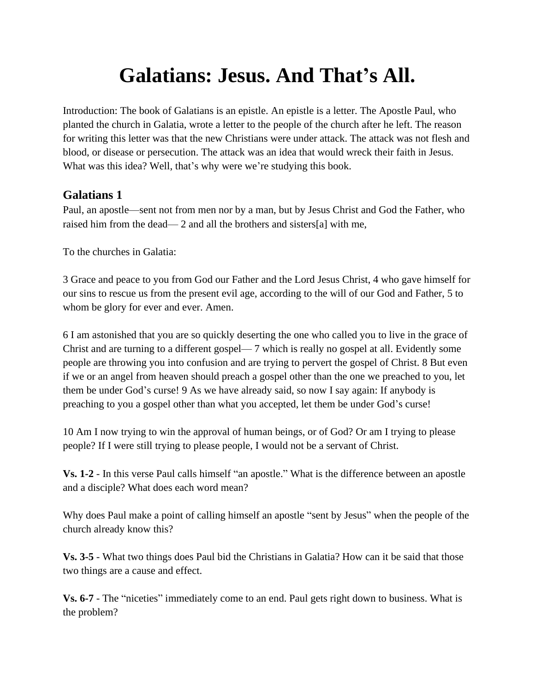## **Galatians: Jesus. And That's All.**

Introduction: The book of Galatians is an epistle. An epistle is a letter. The Apostle Paul, who planted the church in Galatia, wrote a letter to the people of the church after he left. The reason for writing this letter was that the new Christians were under attack. The attack was not flesh and blood, or disease or persecution. The attack was an idea that would wreck their faith in Jesus. What was this idea? Well, that's why were we're studying this book.

## **Galatians 1**

Paul, an apostle—sent not from men nor by a man, but by Jesus Christ and God the Father, who raised him from the dead— 2 and all the brothers and sisters[a] with me,

To the churches in Galatia:

3 Grace and peace to you from God our Father and the Lord Jesus Christ, 4 who gave himself for our sins to rescue us from the present evil age, according to the will of our God and Father, 5 to whom be glory for ever and ever. Amen.

6 I am astonished that you are so quickly deserting the one who called you to live in the grace of Christ and are turning to a different gospel— 7 which is really no gospel at all. Evidently some people are throwing you into confusion and are trying to pervert the gospel of Christ. 8 But even if we or an angel from heaven should preach a gospel other than the one we preached to you, let them be under God's curse! 9 As we have already said, so now I say again: If anybody is preaching to you a gospel other than what you accepted, let them be under God's curse!

10 Am I now trying to win the approval of human beings, or of God? Or am I trying to please people? If I were still trying to please people, I would not be a servant of Christ.

**Vs. 1-2** - In this verse Paul calls himself "an apostle." What is the difference between an apostle and a disciple? What does each word mean?

Why does Paul make a point of calling himself an apostle "sent by Jesus" when the people of the church already know this?

**Vs. 3-5** - What two things does Paul bid the Christians in Galatia? How can it be said that those two things are a cause and effect.

**Vs. 6-7** - The "niceties" immediately come to an end. Paul gets right down to business. What is the problem?